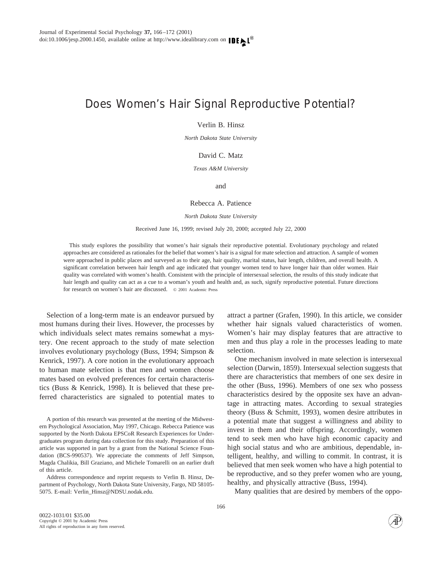# Does Women's Hair Signal Reproductive Potential?

Verlin B. Hinsz

*North Dakota State University*

# David C. Matz

*Texas A&M University*

and

## Rebecca A. Patience

*North Dakota State University*

#### Received June 16, 1999; revised July 20, 2000; accepted July 22, 2000

This study explores the possibility that women's hair signals their reproductive potential. Evolutionary psychology and related approaches are considered as rationales for the belief that women's hair is a signal for mate selection and attraction. A sample of women were approached in public places and surveyed as to their age, hair quality, marital status, hair length, children, and overall health. A significant correlation between hair length and age indicated that younger women tend to have longer hair than older women. Hair quality was correlated with women's health. Consistent with the principle of intersexual selection, the results of this study indicate that hair length and quality can act as a cue to a woman's youth and health and, as such, signify reproductive potential. Future directions for research on women's hair are discussed. © 2001 Academic Press

Selection of a long-term mate is an endeavor pursued by most humans during their lives. However, the processes by which individuals select mates remains somewhat a mystery. One recent approach to the study of mate selection involves evolutionary psychology (Buss, 1994; Simpson & Kenrick, 1997). A core notion in the evolutionary approach to human mate selection is that men and women choose mates based on evolved preferences for certain characteristics (Buss & Kenrick, 1998). It is believed that these preferred characteristics are signaled to potential mates to

A portion of this research was presented at the meeting of the Midwestern Psychological Association, May 1997, Chicago. Rebecca Patience was supported by the North Dakota EPSCoR Research Experiences for Undergraduates program during data collection for this study. Preparation of this article was supported in part by a grant from the National Science Foundation (BCS-990537). We appreciate the comments of Jeff Simpson, Magda Chalikia, Bill Graziano, and Michele Tomarelli on an earlier draft of this article.

Address correspondence and reprint requests to Verlin B. Hinsz, Department of Psychology, North Dakota State University, Fargo, ND 58105- 5075. E-mail: Verlin\_Hinsz@NDSU.nodak.edu.

attract a partner (Grafen, 1990). In this article, we consider whether hair signals valued characteristics of women. Women's hair may display features that are attractive to men and thus play a role in the processes leading to mate selection.

One mechanism involved in mate selection is intersexual selection (Darwin, 1859). Intersexual selection suggests that there are characteristics that members of one sex desire in the other (Buss, 1996). Members of one sex who possess characteristics desired by the opposite sex have an advantage in attracting mates. According to sexual strategies theory (Buss & Schmitt, 1993), women desire attributes in a potential mate that suggest a willingness and ability to invest in them and their offspring. Accordingly, women tend to seek men who have high economic capacity and high social status and who are ambitious, dependable, intelligent, healthy, and willing to commit. In contrast, it is believed that men seek women who have a high potential to be reproductive, and so they prefer women who are young, healthy, and physically attractive (Buss, 1994).

Many qualities that are desired by members of the oppo-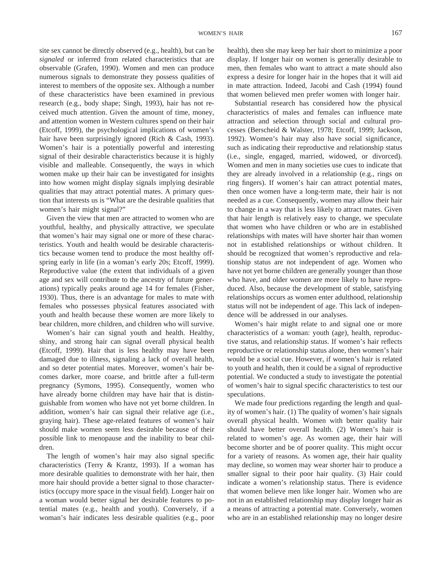site sex cannot be directly observed (e.g., health), but can be *signaled* or inferred from related characteristics that are observable (Grafen, 1990). Women and men can produce numerous signals to demonstrate they possess qualities of interest to members of the opposite sex. Although a number of these characteristics have been examined in previous research (e.g., body shape; Singh, 1993), hair has not received much attention. Given the amount of time, money, and attention women in Western cultures spend on their hair (Etcoff, 1999), the psychological implications of women's hair have been surprisingly ignored (Rich & Cash, 1993). Women's hair is a potentially powerful and interesting signal of their desirable characteristics because it is highly visible and malleable. Consequently, the ways in which women make up their hair can be investigated for insights into how women might display signals implying desirable qualities that may attract potential mates. A primary question that interests us is "What are the desirable qualities that women's hair might signal?"

Given the view that men are attracted to women who are youthful, healthy, and physically attractive, we speculate that women's hair may signal one or more of these characteristics. Youth and health would be desirable characteristics because women tend to produce the most healthy offspring early in life (in a woman's early 20s; Etcoff, 1999). Reproductive value (the extent that individuals of a given age and sex will contribute to the ancestry of future generations) typically peaks around age 14 for females (Fisher, 1930). Thus, there is an advantage for males to mate with females who possesses physical features associated with youth and health because these women are more likely to bear children, more children, and children who will survive.

Women's hair can signal youth and health. Healthy, shiny, and strong hair can signal overall physical health (Etcoff, 1999). Hair that is less healthy may have been damaged due to illness, signaling a lack of overall health, and so deter potential mates. Moreover, women's hair becomes darker, more coarse, and brittle after a full-term pregnancy (Symons, 1995). Consequently, women who have already borne children may have hair that is distinguishable from women who have not yet borne children. In addition, women's hair can signal their relative age (i.e., graying hair). These age-related features of women's hair should make women seem less desirable because of their possible link to menopause and the inability to bear children.

The length of women's hair may also signal specific characteristics (Terry & Krantz, 1993). If a woman has more desirable qualities to demonstrate with her hair, then more hair should provide a better signal to those characteristics (occupy more space in the visual field). Longer hair on a woman would better signal her desirable features to potential mates (e.g., health and youth). Conversely, if a woman's hair indicates less desirable qualities (e.g., poor health), then she may keep her hair short to minimize a poor display. If longer hair on women is generally desirable to men, then females who want to attract a mate should also express a desire for longer hair in the hopes that it will aid in mate attraction. Indeed, Jacobi and Cash (1994) found that women believed men prefer women with longer hair.

Substantial research has considered how the physical characteristics of males and females can influence mate attraction and selection through social and cultural processes (Berscheid & Walster, 1978; Etcoff, 1999; Jackson, 1992). Women's hair may also have social significance, such as indicating their reproductive and relationship status (i.e., single, engaged, married, widowed, or divorced). Women and men in many societies use cues to indicate that they are already involved in a relationship (e.g., rings on ring fingers). If women's hair can attract potential mates, then once women have a long-term mate, their hair is not needed as a cue. Consequently, women may allow their hair to change in a way that is less likely to attract mates. Given that hair length is relatively easy to change, we speculate that women who have children or who are in established relationships with mates will have shorter hair than women not in established relationships or without children. It should be recognized that women's reproductive and relationship status are not independent of age. Women who have not yet borne children are generally younger than those who have, and older women are more likely to have reproduced. Also, because the development of stable, satisfying relationships occurs as women enter adulthood, relationship status will not be independent of age. This lack of independence will be addressed in our analyses.

Women's hair might relate to and signal one or more characteristics of a woman: youth (age), health, reproductive status, and relationship status. If women's hair reflects reproductive or relationship status alone, then women's hair would be a social cue. However, if women's hair is related to youth and health, then it could be a signal of reproductive potential. We conducted a study to investigate the potential of women's hair to signal specific characteristics to test our speculations.

We made four predictions regarding the length and quality of women's hair. (1) The quality of women's hair signals overall physical health. Women with better quality hair should have better overall health. (2) Women's hair is related to women's age. As women age, their hair will become shorter and be of poorer quality. This might occur for a variety of reasons. As women age, their hair quality may decline, so women may wear shorter hair to produce a smaller signal to their poor hair quality. (3) Hair could indicate a women's relationship status. There is evidence that women believe men like longer hair. Women who are not in an established relationship may display longer hair as a means of attracting a potential mate. Conversely, women who are in an established relationship may no longer desire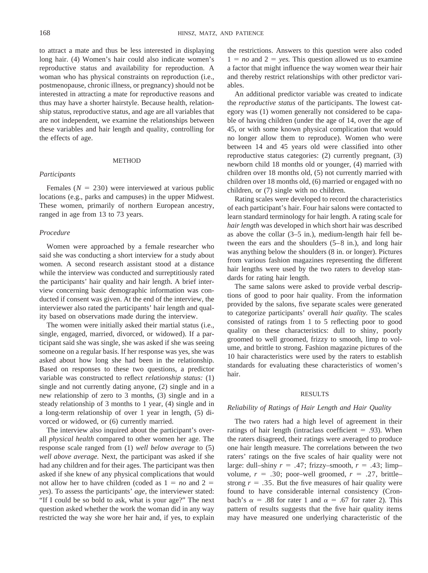to attract a mate and thus be less interested in displaying long hair. (4) Women's hair could also indicate women's reproductive status and availability for reproduction. A woman who has physical constraints on reproduction (i.e., postmenopause, chronic illness, or pregnancy) should not be interested in attracting a mate for reproductive reasons and thus may have a shorter hairstyle. Because health, relationship status, reproductive status, and age are all variables that are not independent, we examine the relationships between these variables and hair length and quality, controlling for the effects of age.

## **METHOD**

## *Participants*

Females  $(N = 230)$  were interviewed at various public locations (e.g., parks and campuses) in the upper Midwest. These women, primarily of northern European ancestry, ranged in age from 13 to 73 years.

## *Procedure*

Women were approached by a female researcher who said she was conducting a short interview for a study about women. A second research assistant stood at a distance while the interview was conducted and surreptitiously rated the participants' hair quality and hair length. A brief interview concerning basic demographic information was conducted if consent was given. At the end of the interview, the interviewer also rated the participants' hair length and quality based on observations made during the interview.

The women were initially asked their martial status (i.e., single, engaged, married, divorced, or widowed). If a participant said she was single, she was asked if she was seeing someone on a regular basis. If her response was yes, she was asked about how long she had been in the relationship. Based on responses to these two questions, a predictor variable was constructed to reflect *relationship status:* (1) single and not currently dating anyone, (2) single and in a new relationship of zero to 3 months, (3) single and in a steady relationship of 3 months to 1 year, (4) single and in a long-term relationship of over 1 year in length, (5) divorced or widowed, or (6) currently married.

The interview also inquired about the participant's overall *physical health* compared to other women her age. The response scale ranged from (1) *well below average* to (5) *well above average.* Next, the participant was asked if she had any children and for their ages. The participant was then asked if she knew of any physical complications that would not allow her to have children (coded as  $1 = no$  and  $2 =$ *yes*). To assess the participants' *age,* the interviewer stated: "If I could be so bold to ask, what is your age?" The next question asked whether the work the woman did in any way restricted the way she wore her hair and, if yes, to explain the restrictions. Answers to this question were also coded  $1 = no$  and  $2 = yes$ . This question allowed us to examine a factor that might influence the way women wear their hair and thereby restrict relationships with other predictor variables.

An additional predictor variable was created to indicate the *reproductive status* of the participants. The lowest category was (1) women generally not considered to be capable of having children (under the age of 14, over the age of 45, or with some known physical complication that would no longer allow them to reproduce). Women who were between 14 and 45 years old were classified into other reproductive status categories: (2) currently pregnant, (3) newborn child 18 months old or younger, (4) married with children over 18 months old, (5) not currently married with children over 18 months old, (6) married or engaged with no children, or (7) single with no children.

Rating scales were developed to record the characteristics of each participant's hair. Four hair salons were contacted to learn standard terminology for hair length. A rating scale for *hair length* was developed in which short hair was described as above the collar (3–5 in.), medium-length hair fell between the ears and the shoulders (5–8 in.), and long hair was anything below the shoulders (8 in. or longer). Pictures from various fashion magazines representing the different hair lengths were used by the two raters to develop standards for rating hair length.

The same salons were asked to provide verbal descriptions of good to poor hair quality. From the information provided by the salons, five separate scales were generated to categorize participants' overall *hair quality.* The scales consisted of ratings from 1 to 5 reflecting poor to good quality on these characteristics: dull to shiny, poorly groomed to well groomed, frizzy to smooth, limp to volume, and brittle to strong. Fashion magazine pictures of the 10 hair characteristics were used by the raters to establish standards for evaluating these characteristics of women's hair.

#### **RESULTS**

#### *Reliability of Ratings of Hair Length and Hair Quality*

The two raters had a high level of agreement in their ratings of hair length (intraclass coefficient  $= .93$ ). When the raters disagreed, their ratings were averaged to produce one hair length measure. The correlations between the two raters' ratings on the five scales of hair quality were not large: dull–shiny  $r = .47$ ; frizzy–smooth,  $r = .43$ ; limp– volume,  $r = .30$ ; poor–well groomed,  $r = .27$ , brittle– strong  $r = .35$ . But the five measures of hair quality were found to have considerable internal consistency (Cronbach's  $\alpha$  = .88 for rater 1 and  $\alpha$  = .67 for rater 2). This pattern of results suggests that the five hair quality items may have measured one underlying characteristic of the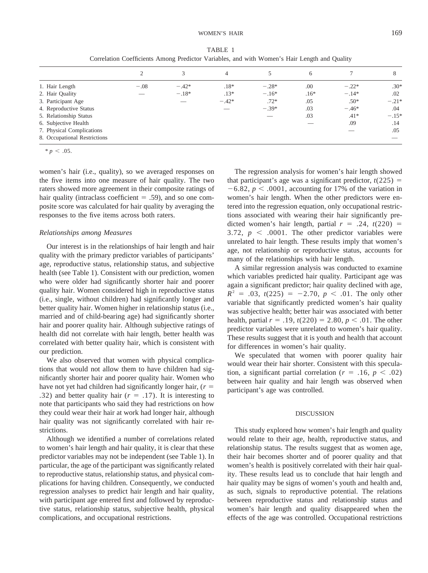TABLE 1 Correlation Coefficients Among Predictor Variables, and with Women's Hair Length and Quality

|                              |        |         | 4       |         | 6      |         | 8       |
|------------------------------|--------|---------|---------|---------|--------|---------|---------|
| 1. Hair Length               | $-.08$ | $-.42*$ | $.18*$  | $-.28*$ | .00    | $-.22*$ | $.30*$  |
| 2. Hair Quality              |        | $-.18*$ | $.13*$  | $-.16*$ | $.16*$ | $-.14*$ | .02     |
| 3. Participant Age           |        |         | $-.42*$ | $.72*$  | .05    | $.50*$  | $-.21*$ |
| 4. Reproductive Status       |        |         |         | $-.39*$ | .03    | $-.46*$ | .04     |
| 5. Relationship Status       |        |         |         |         | .03    | $.41*$  | $-.15*$ |
| 6. Subjective Health         |        |         |         |         |        | .09     | .14     |
| 7. Physical Complications    |        |         |         |         |        |         | .05     |
| 8. Occupational Restrictions |        |         |         |         |        |         |         |

 $* p < .05$ .

women's hair (i.e., quality), so we averaged responses on the five items into one measure of hair quality. The two raters showed more agreement in their composite ratings of hair quality (intraclass coefficient  $= .59$ ), and so one composite score was calculated for hair quality by averaging the responses to the five items across both raters.

## *Relationships among Measures*

Our interest is in the relationships of hair length and hair quality with the primary predictor variables of participants' age, reproductive status, relationship status, and subjective health (see Table 1). Consistent with our prediction, women who were older had significantly shorter hair and poorer quality hair. Women considered high in reproductive status (i.e., single, without children) had significantly longer and better quality hair. Women higher in relationship status (i.e., married and of child-bearing age) had significantly shorter hair and poorer quality hair. Although subjective ratings of health did not correlate with hair length, better health was correlated with better quality hair, which is consistent with our prediction.

We also observed that women with physical complications that would not allow them to have children had significantly shorter hair and poorer quality hair. Women who have not yet had children had significantly longer hair,  $(r =$ .32) and better quality hair  $(r = .17)$ . It is interesting to note that participants who said they had restrictions on how they could wear their hair at work had longer hair, although hair quality was not significantly correlated with hair restrictions.

Although we identified a number of correlations related to women's hair length and hair quality, it is clear that these predictor variables may not be independent (see Table 1). In particular, the age of the participant was significantly related to reproductive status, relationship status, and physical complications for having children. Consequently, we conducted regression analyses to predict hair length and hair quality, with participant age entered first and followed by reproductive status, relationship status, subjective health, physical complications, and occupational restrictions.

The regression analysis for women's hair length showed that participant's age was a significant predictor,  $t(225)$  =  $-6.82$ ,  $p < .0001$ , accounting for 17% of the variation in women's hair length. When the other predictors were entered into the regression equation, only occupational restrictions associated with wearing their hair significantly predicted women's hair length, partial  $r = .24$ ,  $t(220) =$ 3.72,  $p \leq .0001$ . The other predictor variables were unrelated to hair length. These results imply that women's age, not relationship or reproductive status, accounts for many of the relationships with hair length.

A similar regression analysis was conducted to examine which variables predicted hair quality. Participant age was again a significant predictor; hair quality declined with age,  $R^2 = .03$ ,  $t(225) = -2.70$ ,  $p < .01$ . The only other variable that significantly predicted women's hair quality was subjective health; better hair was associated with better health, partial  $r = .19$ ,  $t(220) = 2.80$ ,  $p < .01$ . The other predictor variables were unrelated to women's hair quality. These results suggest that it is youth and health that account for differences in women's hair quality.

We speculated that women with poorer quality hair would wear their hair shorter. Consistent with this speculation, a significant partial correlation ( $r = .16$ ,  $p < .02$ ) between hair quality and hair length was observed when participant's age was controlled.

#### DISCUSSION

This study explored how women's hair length and quality would relate to their age, health, reproductive status, and relationship status. The results suggest that as women age, their hair becomes shorter and of poorer quality and that women's health is positively correlated with their hair quality. These results lead us to conclude that hair length and hair quality may be signs of women's youth and health and, as such, signals to reproductive potential. The relations between reproductive status and relationship status and women's hair length and quality disappeared when the effects of the age was controlled. Occupational restrictions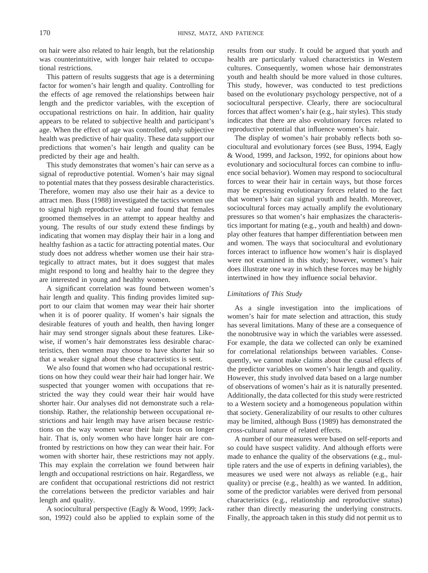on hair were also related to hair length, but the relationship was counterintuitive, with longer hair related to occupational restrictions.

This pattern of results suggests that age is a determining factor for women's hair length and quality. Controlling for the effects of age removed the relationships between hair length and the predictor variables, with the exception of occupational restrictions on hair. In addition, hair quality appears to be related to subjective health and participant's age. When the effect of age was controlled, only subjective health was predictive of hair quality. These data support our predictions that women's hair length and quality can be predicted by their age and health.

This study demonstrates that women's hair can serve as a signal of reproductive potential. Women's hair may signal to potential mates that they possess desirable characteristics. Therefore, women may also use their hair as a device to attract men. Buss (1988) investigated the tactics women use to signal high reproductive value and found that females groomed themselves in an attempt to appear healthy and young. The results of our study extend these findings by indicating that women may display their hair in a long and healthy fashion as a tactic for attracting potential mates. Our study does not address whether women use their hair strategically to attract mates, but it does suggest that males might respond to long and healthy hair to the degree they are interested in young and healthy women.

A significant correlation was found between women's hair length and quality. This finding provides limited support to our claim that women may wear their hair shorter when it is of poorer quality. If women's hair signals the desirable features of youth and health, then having longer hair may send stronger signals about these features. Likewise, if women's hair demonstrates less desirable characteristics, then women may choose to have shorter hair so that a weaker signal about these characteristics is sent.

We also found that women who had occupational restrictions on how they could wear their hair had longer hair. We suspected that younger women with occupations that restricted the way they could wear their hair would have shorter hair. Our analyses did not demonstrate such a relationship. Rather, the relationship between occupational restrictions and hair length may have arisen because restrictions on the way women wear their hair focus on longer hair. That is, only women who have longer hair are confronted by restrictions on how they can wear their hair. For women with shorter hair, these restrictions may not apply. This may explain the correlation we found between hair length and occupational restrictions on hair. Regardless, we are confident that occupational restrictions did not restrict the correlations between the predictor variables and hair length and quality.

A sociocultural perspective (Eagly & Wood, 1999; Jackson, 1992) could also be applied to explain some of the results from our study. It could be argued that youth and health are particularly valued characteristics in Western cultures. Consequently, women whose hair demonstrates youth and health should be more valued in those cultures. This study, however, was conducted to test predictions based on the evolutionary psychology perspective, not of a sociocultural perspective. Clearly, there are sociocultural forces that affect women's hair (e.g., hair styles). This study indicates that there are also evolutionary forces related to reproductive potential that influence women's hair.

The display of women's hair probably reflects both sociocultural and evolutionary forces (see Buss, 1994, Eagly & Wood, 1999, and Jackson, 1992, for opinions about how evolutionary and sociocultural forces can combine to influence social behavior). Women may respond to sociocultural forces to wear their hair in certain ways, but those forces may be expressing evolutionary forces related to the fact that women's hair can signal youth and health. Moreover, sociocultural forces may actually amplify the evolutionary pressures so that women's hair emphasizes the characteristics important for mating (e.g., youth and health) and downplay other features that hamper differentiation between men and women. The ways that sociocultural and evolutionary forces interact to influence how women's hair is displayed were not examined in this study; however, women's hair does illustrate one way in which these forces may be highly intertwined in how they influence social behavior.

## *Limitations of This Study*

As a single investigation into the implications of women's hair for mate selection and attraction, this study has several limitations. Many of these are a consequence of the nonobtrusive way in which the variables were assessed. For example, the data we collected can only be examined for correlational relationships between variables. Consequently, we cannot make claims about the causal effects of the predictor variables on women's hair length and quality. However, this study involved data based on a large number of observations of women's hair as it is naturally presented. Additionally, the data collected for this study were restricted to a Western society and a homogeneous population within that society. Generalizability of our results to other cultures may be limited, although Buss (1989) has demonstrated the cross-cultural nature of related effects.

A number of our measures were based on self-reports and so could have suspect validity. And although efforts were made to enhance the quality of the observations (e.g., multiple raters and the use of experts in defining variables), the measures we used were not always as reliable (e.g., hair quality) or precise (e.g., health) as we wanted. In addition, some of the predictor variables were derived from personal characteristics (e.g., relationship and reproductive status) rather than directly measuring the underlying constructs. Finally, the approach taken in this study did not permit us to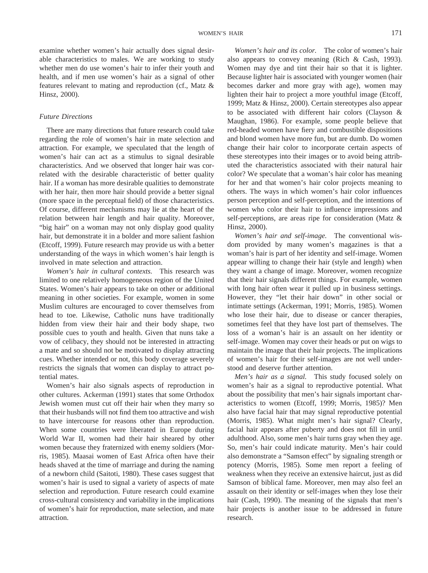examine whether women's hair actually does signal desirable characteristics to males. We are working to study whether men do use women's hair to infer their youth and health, and if men use women's hair as a signal of other features relevant to mating and reproduction (cf., Matz & Hinsz, 2000).

# *Future Directions*

There are many directions that future research could take regarding the role of women's hair in mate selection and attraction. For example, we speculated that the length of women's hair can act as a stimulus to signal desirable characteristics. And we observed that longer hair was correlated with the desirable characteristic of better quality hair. If a woman has more desirable qualities to demonstrate with her hair, then more hair should provide a better signal (more space in the perceptual field) of those characteristics. Of course, different mechanisms may lie at the heart of the relation between hair length and hair quality. Moreover, "big hair" on a woman may not only display good quality hair, but demonstrate it in a bolder and more salient fashion (Etcoff, 1999). Future research may provide us with a better understanding of the ways in which women's hair length is involved in mate selection and attraction.

*Women's hair in cultural contexts.* This research was limited to one relatively homogeneous region of the United States. Women's hair appears to take on other or additional meaning in other societies. For example, women in some Muslim cultures are encouraged to cover themselves from head to toe. Likewise, Catholic nuns have traditionally hidden from view their hair and their body shape, two possible cues to youth and health. Given that nuns take a vow of celibacy, they should not be interested in attracting a mate and so should not be motivated to display attracting cues. Whether intended or not, this body coverage severely restricts the signals that women can display to attract potential mates.

Women's hair also signals aspects of reproduction in other cultures. Ackerman (1991) states that some Orthodox Jewish women must cut off their hair when they marry so that their husbands will not find them too attractive and wish to have intercourse for reasons other than reproduction. When some countries were liberated in Europe during World War II, women had their hair sheared by other women because they fraternized with enemy soldiers (Morris, 1985). Maasai women of East Africa often have their heads shaved at the time of marriage and during the naming of a newborn child (Saitoti, 1980). These cases suggest that women's hair is used to signal a variety of aspects of mate selection and reproduction. Future research could examine cross-cultural consistency and variability in the implications of women's hair for reproduction, mate selection, and mate attraction.

*Women's hair and its color.* The color of women's hair also appears to convey meaning (Rich & Cash, 1993). Women may dye and tint their hair so that it is lighter. Because lighter hair is associated with younger women (hair becomes darker and more gray with age), women may lighten their hair to project a more youthful image (Etcoff, 1999; Matz & Hinsz, 2000). Certain stereotypes also appear to be associated with different hair colors (Clayson & Maughan, 1986). For example, some people believe that red-headed women have fiery and combustible dispositions and blond women have more fun, but are dumb. Do women change their hair color to incorporate certain aspects of these stereotypes into their images or to avoid being attributed the characteristics associated with their natural hair color? We speculate that a woman's hair color has meaning for her and that women's hair color projects meaning to others. The ways in which women's hair color influences person perception and self-perception, and the intentions of women who color their hair to influence impressions and self-perceptions, are areas ripe for consideration (Matz & Hinsz, 2000).

*Women's hair and self-image.* The conventional wisdom provided by many women's magazines is that a woman's hair is part of her identity and self-image. Women appear willing to change their hair (style and length) when they want a change of image. Moreover, women recognize that their hair signals different things. For example, women with long hair often wear it pulled up in business settings. However, they "let their hair down" in other social or intimate settings (Ackerman, 1991; Morris, 1985). Women who lose their hair, due to disease or cancer therapies, sometimes feel that they have lost part of themselves. The loss of a woman's hair is an assault on her identity or self-image. Women may cover their heads or put on wigs to maintain the image that their hair projects. The implications of women's hair for their self-images are not well understood and deserve further attention.

*Men's hair as a signal.* This study focused solely on women's hair as a signal to reproductive potential. What about the possibility that men's hair signals important characteristics to women (Etcoff, 1999; Morris, 1985)? Men also have facial hair that may signal reproductive potential (Morris, 1985). What might men's hair signal? Clearly, facial hair appears after puberty and does not fill in until adulthood. Also, some men's hair turns gray when they age. So, men's hair could indicate maturity. Men's hair could also demonstrate a "Samson effect" by signaling strength or potency (Morris, 1985). Some men report a feeling of weakness when they receive an extensive haircut, just as did Samson of biblical fame. Moreover, men may also feel an assault on their identity or self-images when they lose their hair (Cash, 1990). The meaning of the signals that men's hair projects is another issue to be addressed in future research.